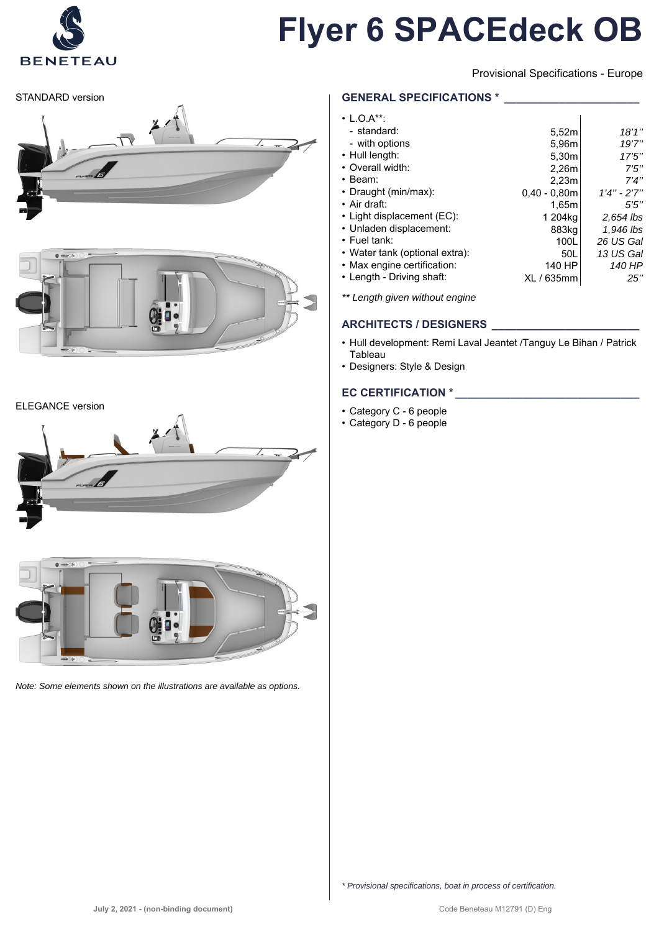

Provisional Specifications - Europe

STANDARD version





#### ELEGANCE version





*Note: Some elements shown on the illustrations are available as options.*

### **GENERAL SPECIFICATIONS \***

| $\cdot$ L.O.A**:               |                   |               |
|--------------------------------|-------------------|---------------|
| - standard:                    | 5,52m             | 18'1''        |
| - with options                 | 5,96m             | 19'7''        |
| • Hull length:                 | 5.30m             | 17'5''        |
| • Overall width:               | 2.26m             | 7'5''         |
| $\cdot$ Beam:                  | 2.23 <sub>m</sub> | 7'4''         |
| • Draught (min/max):           | $0.40 - 0.80m$    | $1'4" - 2'7"$ |
| $\cdot$ Air draft:             | 1.65m             | 5'5''         |
| • Light displacement (EC):     | 1 204ka           | 2,654 lbs     |
| • Unladen displacement:        | 883kg             | 1,946 lbs     |
| $\cdot$ Fuel tank:             | 100L              | 26 US Gal     |
| • Water tank (optional extra): | 50L               | 13 US Gal     |
| • Max engine certification:    | 140 HP            | 140 HP        |
| • Length - Driving shaft:      | XL / 635mm        | 25"           |
|                                |                   |               |

*\*\* Length given without engine*

### **ARCHITECTS / DESIGNERS \_\_\_\_\_\_\_\_\_\_\_\_\_\_\_\_\_\_\_\_\_\_\_\_**

- Hull development: Remi Laval Jeantet /Tanguy Le Bihan / Patrick **Tableau**
- Designers: Style & Design

# **EC CERTIFICATION \* \_\_\_\_\_\_\_\_\_\_\_\_\_\_\_\_\_\_\_\_\_\_\_\_\_\_\_\_\_\_**

- Category C 6 people
- Category D 6 people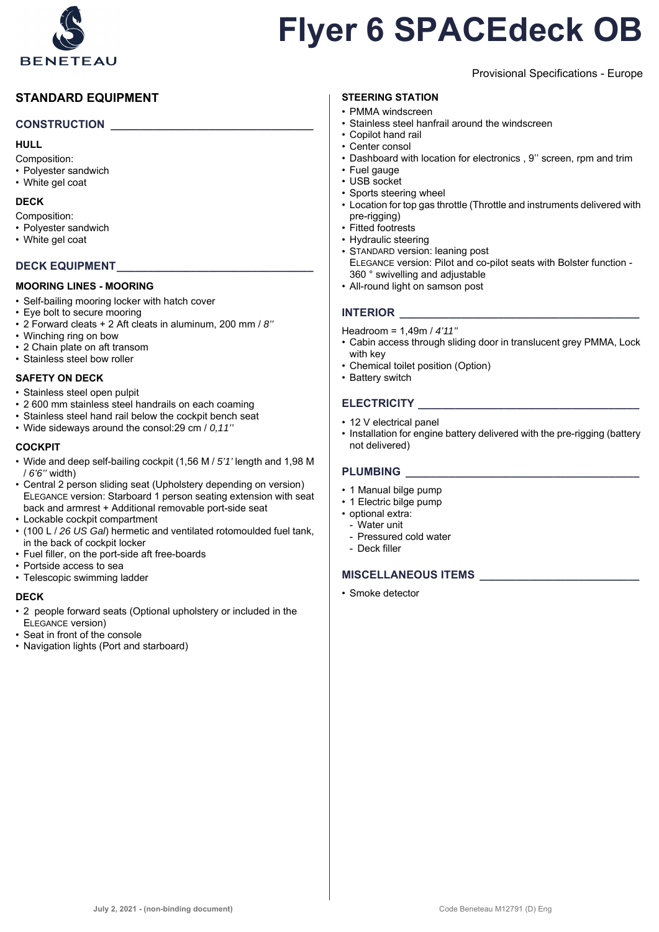

# **STANDARD EQUIPMENT**

#### **CONSTRUCTION \_\_\_\_\_\_\_\_\_\_\_\_\_\_\_\_\_\_\_\_\_\_\_\_\_\_\_\_\_\_\_\_\_**

#### **HULL**

Composition:

- Polyester sandwich
- White gel coat

#### **DECK**

- Composition:
- Polyester sandwich
- White gel coat

#### DECK EQUIPMENT

#### **MOORING LINES - MOORING**

- Self-bailing mooring locker with hatch cover
- Eye bolt to secure mooring
- 2 Forward cleats + 2 Aft cleats in aluminum, 200 mm / *8''*
- Winching ring on bow
- 2 Chain plate on aft transom
- Stainless steel bow roller

#### **SAFETY ON DECK**

- Stainless steel open pulpit
- 2 600 mm stainless steel handrails on each coaming
- Stainless steel hand rail below the cockpit bench seat
- Wide sideways around the consol:29 cm / *0,11''*

#### **COCKPIT**

- Wide and deep self-bailing cockpit (1,56 M / *5'1'* length and 1,98 M / *6'6''* width)
- Central 2 person sliding seat (Upholstery depending on version) ELEGANCE version: Starboard 1 person seating extension with seat back and armrest + Additional removable port-side seat
- Lockable cockpit compartment
- (100 L / *26 US Gal*) hermetic and ventilated rotomoulded fuel tank, in the back of cockpit locker
- Fuel filler, on the port-side aft free-boards
- Portside access to sea
- Telescopic swimming ladder

#### **DECK**

- 2 people forward seats (Optional upholstery or included in the ELEGANCE version)
- Seat in front of the console
- Navigation lights (Port and starboard)

# **STEERING STATION**

- PMMA windscreen
- Stainless steel hanfrail around the windscreen
- Copilot hand rail
- Center consol
- Dashboard with location for electronics , 9'' screen, rpm and trim

Provisional Specifications - Europe

- Fuel gauge
- USB socket
- Sports steering wheel
- Location for top gas throttle (Throttle and instruments delivered with pre-rigging)
- Fitted footrests
- Hydraulic steering
- STANDARD version: leaning post ELEGANCE version: Pilot and co-pilot seats with Bolster function - 360 ° swivelling and adjustable
- All-round light on samson post

# **INTERIOR**

#### Headroom = 1,49m / *4'11''*

- Cabin access through sliding door in translucent grey PMMA, Lock with key
- Chemical toilet position (Option)
- Battery switch

# $\blacksquare$  **ELECTRICITY**

- 12 V electrical panel
- Installation for engine battery delivered with the pre-rigging (battery not delivered)

#### PLUMBING

- 1 Manual bilge pump
- 1 Electric bilge pump
- optional extra:
	- Water unit
	- Pressured cold water
	- Deck filler

# **MISCELLANEOUS ITEMS \_\_\_\_\_\_\_\_\_\_\_\_\_\_\_\_\_\_\_\_\_\_\_\_\_\_**

• Smoke detector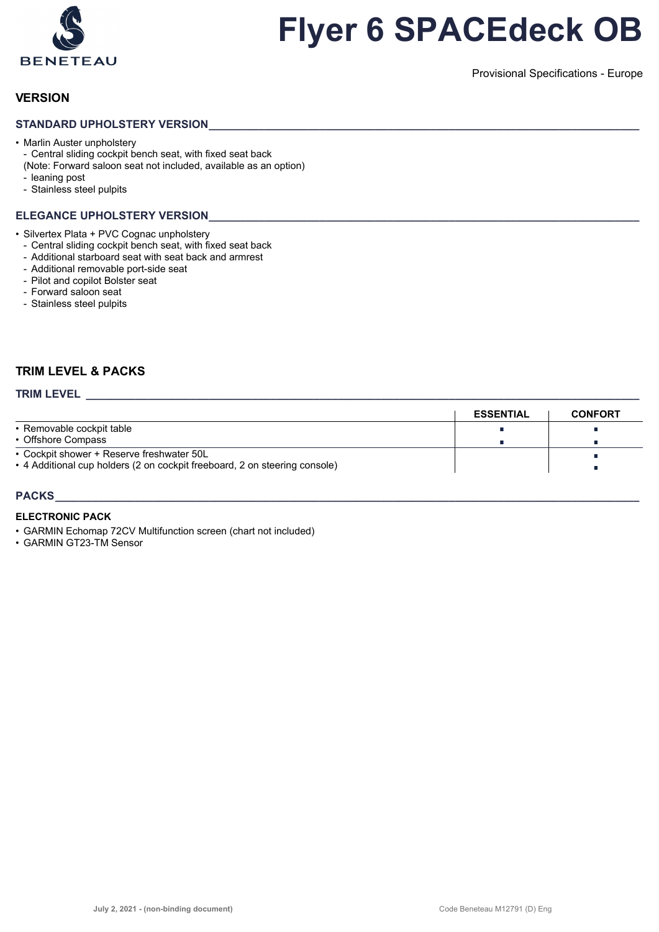

Provisional Specifications - Europe

### **VERSION**

#### STANDARD UPHOLSTERY VERSION

• Marlin Auster unpholstery - Central sliding cockpit bench seat, with fixed seat back

- (Note: Forward saloon seat not included, available as an option)
- leaning post
- Stainless steel pulpits

#### **ELEGANCE UPHOLSTERY VERSION**

• Silvertex Plata + PVC Cognac unpholstery

- Central sliding cockpit bench seat, with fixed seat back
- Additional starboard seat with seat back and armrest
- Additional removable port-side seat
- Pilot and copilot Bolster seat
- Forward saloon seat
- Stainless steel pulpits

### **TRIM LEVEL & PACKS**

# **TRIM LEVEL \_\_\_\_\_\_\_\_\_\_\_\_\_\_\_\_\_\_\_\_\_\_\_\_\_\_\_\_\_\_\_\_\_\_\_\_\_\_\_\_\_\_\_\_\_\_\_\_\_\_\_\_\_\_\_\_\_\_\_\_\_\_\_\_\_\_\_\_\_\_\_\_\_\_\_\_\_\_\_\_\_\_\_\_\_\_\_\_\_\_**

|                                                                            | <b>ESSENTIAL</b> | <b>CONFORT</b> |
|----------------------------------------------------------------------------|------------------|----------------|
| • Removable cockpit table                                                  |                  |                |
| • Offshore Compass                                                         |                  |                |
| • Cockpit shower + Reserve freshwater 50L                                  |                  |                |
| • 4 Additional cup holders (2 on cockpit freeboard, 2 on steering console) |                  |                |
|                                                                            |                  |                |

#### **PACKS\_\_\_\_\_\_\_\_\_\_\_\_\_\_\_\_\_\_\_\_\_\_\_\_\_\_\_\_\_\_\_\_\_\_\_\_\_\_\_\_\_\_\_\_\_\_\_\_\_\_\_\_\_\_\_\_\_\_\_\_\_\_\_\_\_\_\_\_\_\_\_\_\_\_\_\_\_\_\_\_\_\_\_\_\_\_\_\_\_\_\_\_\_\_\_**

#### **ELECTRONIC PACK**

• GARMIN Echomap 72CV Multifunction screen (chart not included)

• GARMIN GT23-TM Sensor